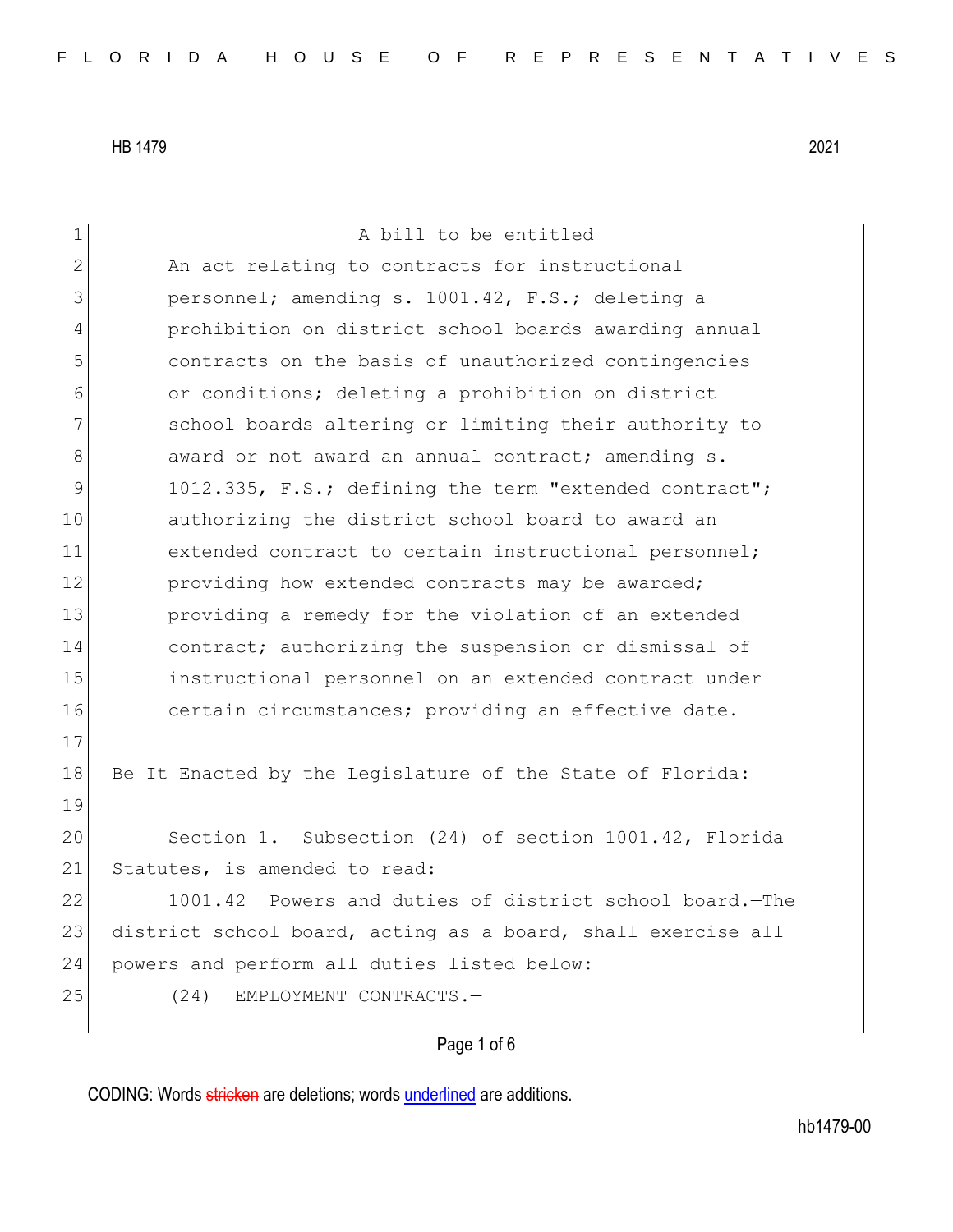| $\mathbf 1$  | A bill to be entitled                                        |
|--------------|--------------------------------------------------------------|
| $\mathbf{2}$ | An act relating to contracts for instructional               |
| 3            | personnel; amending s. 1001.42, F.S.; deleting a             |
| 4            | prohibition on district school boards awarding annual        |
| 5            | contracts on the basis of unauthorized contingencies         |
| 6            | or conditions; deleting a prohibition on district            |
| 7            | school boards altering or limiting their authority to        |
| 8            | award or not award an annual contract; amending s.           |
| 9            | 1012.335, F.S.; defining the term "extended contract";       |
| 10           | authorizing the district school board to award an            |
| 11           | extended contract to certain instructional personnel;        |
| 12           | providing how extended contracts may be awarded;             |
| 13           | providing a remedy for the violation of an extended          |
| 14           | contract; authorizing the suspension or dismissal of         |
| 15           | instructional personnel on an extended contract under        |
| 16           | certain circumstances; providing an effective date.          |
| 17           |                                                              |
| 18           | Be It Enacted by the Legislature of the State of Florida:    |
| 19           |                                                              |
| 20           | Section 1. Subsection (24) of section 1001.42, Florida       |
| 21           | Statutes, is amended to read:                                |
| 22           | 1001.42 Powers and duties of district school board.-The      |
| 23           | district school board, acting as a board, shall exercise all |
| 24           | powers and perform all duties listed below:                  |
| 25           | (24)<br>EMPLOYMENT CONTRACTS.-                               |
|              |                                                              |

# Page 1 of 6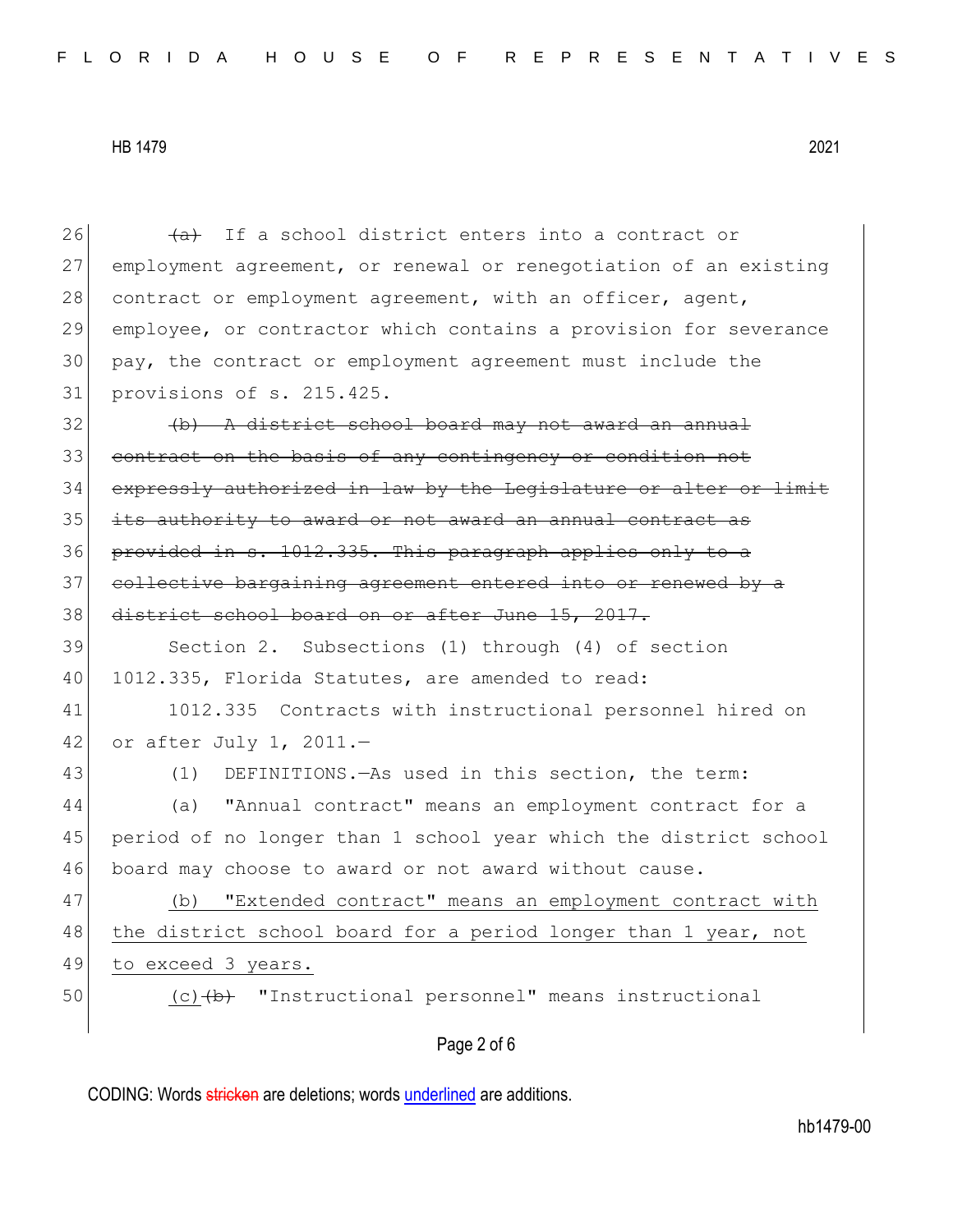Page 2 of 6 26  $\overline{a}$  If a school district enters into a contract or 27 employment agreement, or renewal or renegotiation of an existing 28 contract or employment agreement, with an officer, agent, 29 employee, or contractor which contains a provision for severance 30 pay, the contract or employment agreement must include the 31 provisions of s. 215.425. 32 (b) A district school board may not award an annual 33 contract on the basis of any contingency or condition not 34 expressly authorized in law by the Legislature or alter or limit 35 its authority to award or not award an annual contract as 36 provided in s. 1012.335. This paragraph applies only to a 37 collective bargaining agreement entered into or renewed by a 38 district school board on or after June 15, 2017. 39 Section 2. Subsections (1) through (4) of section 40 1012.335, Florida Statutes, are amended to read: 41 1012.335 Contracts with instructional personnel hired on 42 or after July 1, 2011. $-$ 43 (1) DEFINITIONS. - As used in this section, the term: 44 (a) "Annual contract" means an employment contract for a 45 period of no longer than 1 school year which the district school 46 board may choose to award or not award without cause. 47 (b) "Extended contract" means an employment contract with 48 the district school board for a period longer than 1 year, not 49 to exceed 3 years. 50 (c) (b) "Instructional personnel" means instructional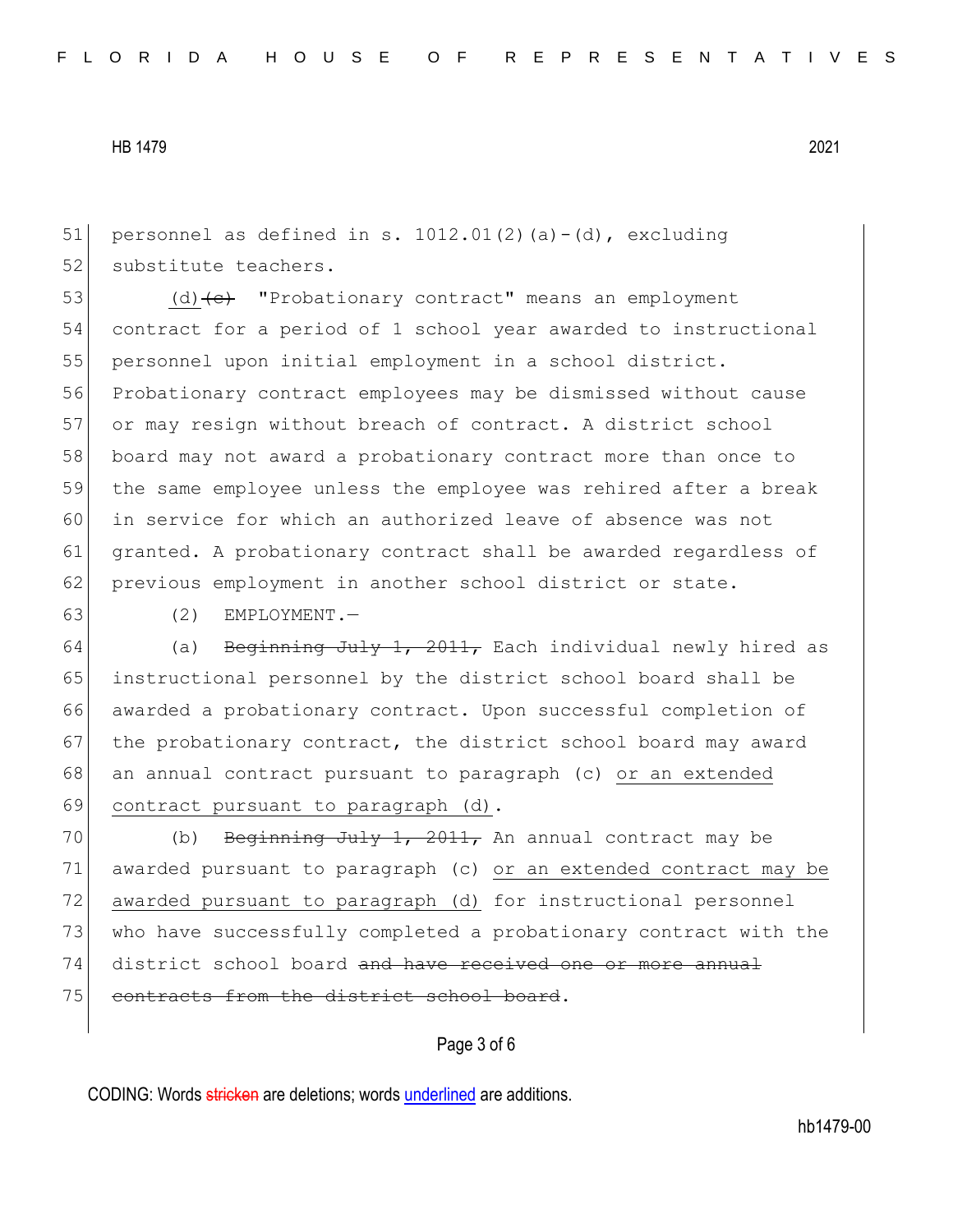51 personnel as defined in s.  $1012.01(2)(a)-(d)$ , excluding 52 substitute teachers.

53 (d)  $\left($ d)  $\left($ e $\right)$  "Probationary contract" means an employment contract for a period of 1 school year awarded to instructional personnel upon initial employment in a school district. Probationary contract employees may be dismissed without cause 57 or may resign without breach of contract. A district school board may not award a probationary contract more than once to the same employee unless the employee was rehired after a break in service for which an authorized leave of absence was not granted. A probationary contract shall be awarded regardless of 62 previous employment in another school district or state.

 $63$  (2) EMPLOYMENT.

64 (a) <del>Beginning July 1, 2011,</del> Each individual newly hired as 65 instructional personnel by the district school board shall be 66 awarded a probationary contract. Upon successful completion of 67 the probationary contract, the district school board may award 68 an annual contract pursuant to paragraph (c) or an extended 69 contract pursuant to paragraph (d).

70 (b) Beginning July 1, 2011, An annual contract may be 71 awarded pursuant to paragraph (c) or an extended contract may be 72 awarded pursuant to paragraph (d) for instructional personnel 73 who have successfully completed a probationary contract with the 74 district school board and have received one or more annual 75 contracts from the district school board.

### Page 3 of 6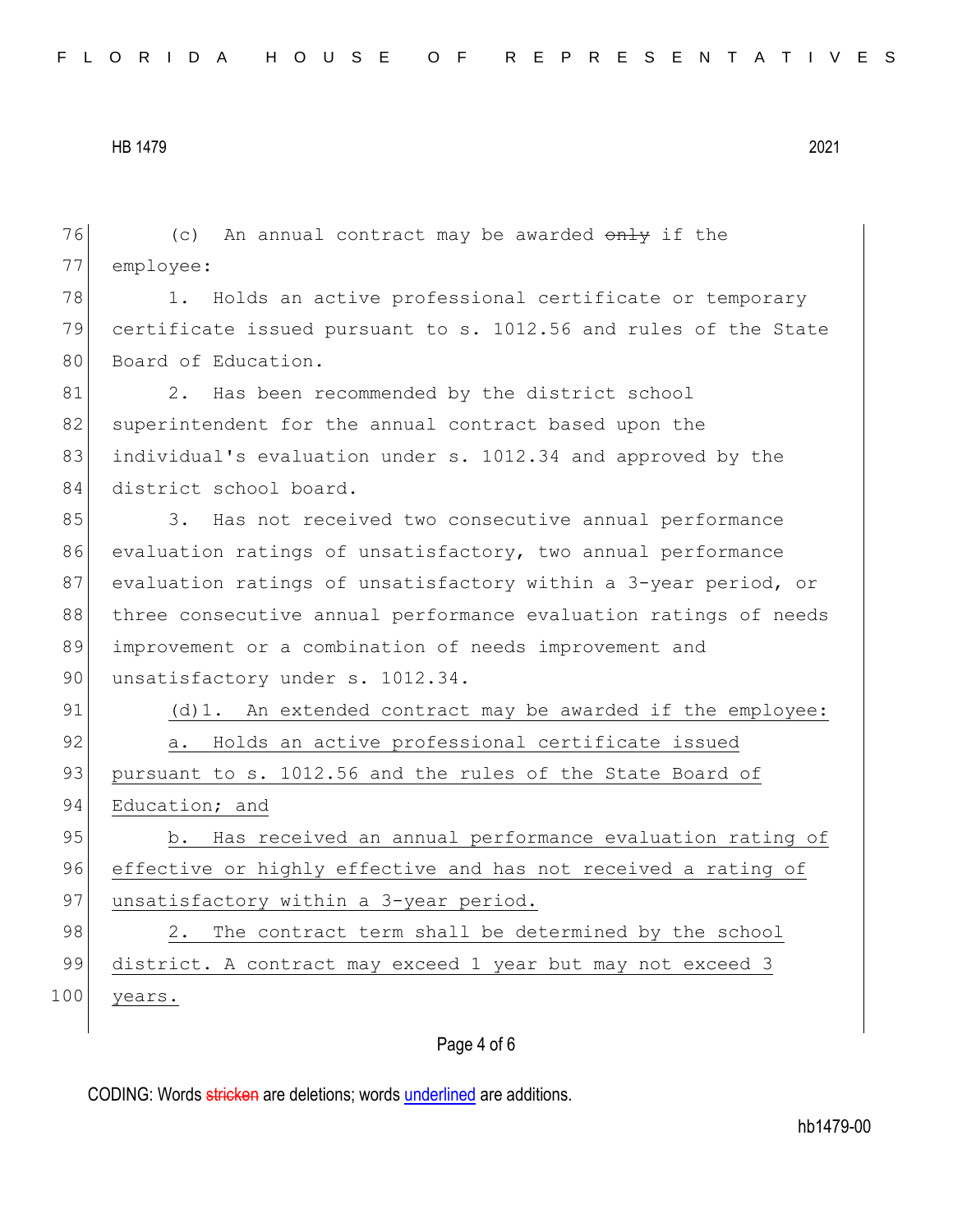| 76  | (c) An annual contract may be awarded only if the                |
|-----|------------------------------------------------------------------|
| 77  | employee:                                                        |
| 78  | Holds an active professional certificate or temporary<br>1.      |
| 79  | certificate issued pursuant to s. 1012.56 and rules of the State |
| 80  | Board of Education.                                              |
| 81  | 2. Has been recommended by the district school                   |
| 82  | superintendent for the annual contract based upon the            |
| 83  | individual's evaluation under s. 1012.34 and approved by the     |
| 84  | district school board.                                           |
| 85  | 3. Has not received two consecutive annual performance           |
| 86  | evaluation ratings of unsatisfactory, two annual performance     |
| 87  | evaluation ratings of unsatisfactory within a 3-year period, or  |
| 88  | three consecutive annual performance evaluation ratings of needs |
| 89  | improvement or a combination of needs improvement and            |
| 90  | unsatisfactory under s. 1012.34.                                 |
| 91  | (d) 1. An extended contract may be awarded if the employee:      |
| 92  | a. Holds an active professional certificate issued               |
| 93  | pursuant to s. 1012.56 and the rules of the State Board of       |
| 94  | Education; and                                                   |
| 95  | b. Has received an annual performance evaluation rating of       |
| 96  | effective or highly effective and has not received a rating of   |
| 97  | unsatisfactory within a 3-year period.                           |
| 98  | The contract term shall be determined by the school<br>2.        |
| 99  | district. A contract may exceed 1 year but may not exceed 3      |
| 100 | years.                                                           |
|     |                                                                  |

## Page 4 of 6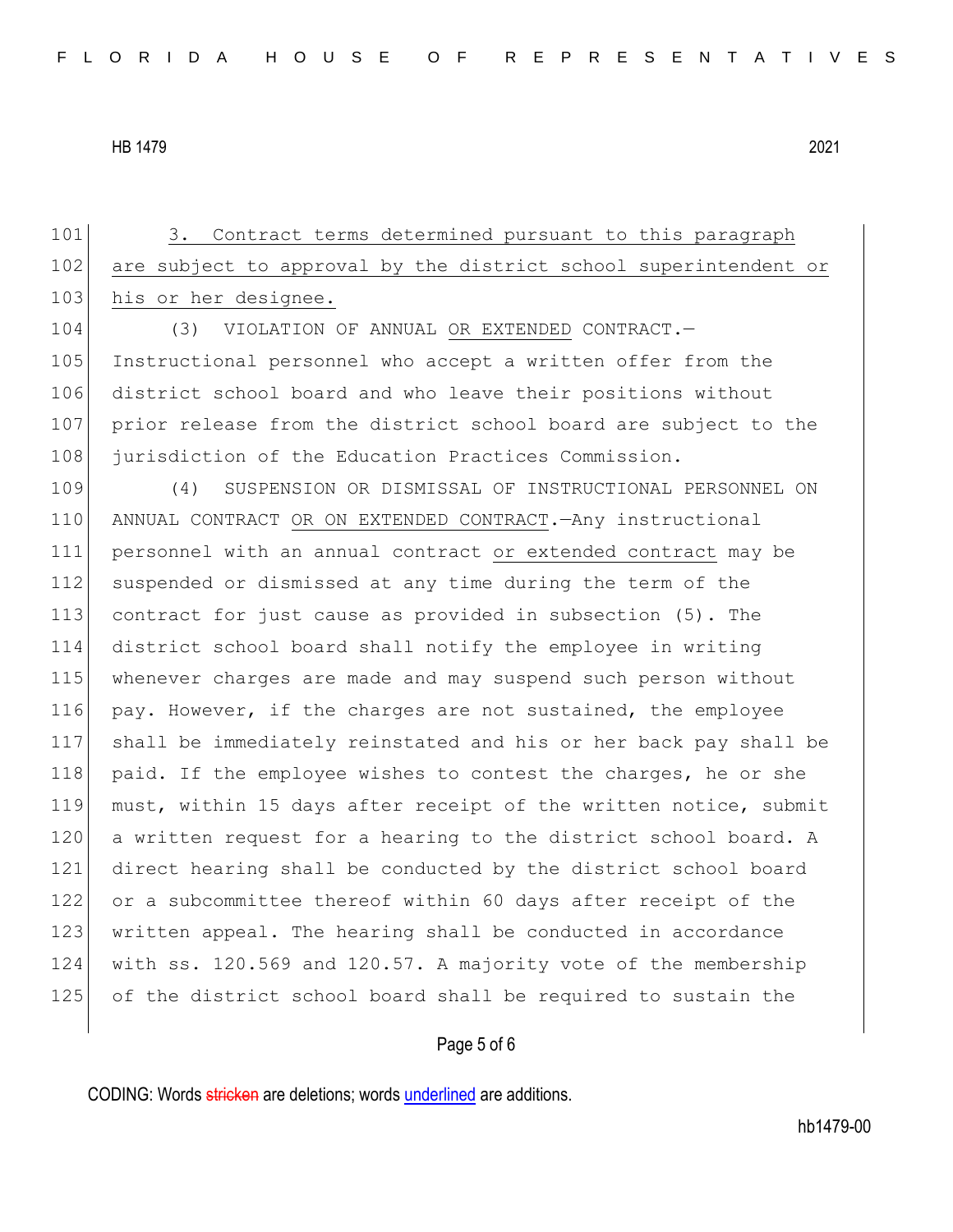101 3. Contract terms determined pursuant to this paragraph 102 are subject to approval by the district school superintendent or 103 his or her designee. 104 (3) VIOLATION OF ANNUAL OR EXTENDED CONTRACT. 105 Instructional personnel who accept a written offer from the 106 district school board and who leave their positions without 107 prior release from the district school board are subject to the 108 jurisdiction of the Education Practices Commission. 109 (4) SUSPENSION OR DISMISSAL OF INSTRUCTIONAL PERSONNEL ON 110 ANNUAL CONTRACT OR ON EXTENDED CONTRACT.—Any instructional 111 personnel with an annual contract or extended contract may be 112 suspended or dismissed at any time during the term of the 113 contract for just cause as provided in subsection (5). The 114 district school board shall notify the employee in writing 115 whenever charges are made and may suspend such person without 116 pay. However, if the charges are not sustained, the employee 117 shall be immediately reinstated and his or her back pay shall be 118 paid. If the employee wishes to contest the charges, he or she 119 must, within 15 days after receipt of the written notice, submit 120 a written request for a hearing to the district school board. A 121 direct hearing shall be conducted by the district school board 122 or a subcommittee thereof within 60 days after receipt of the 123 written appeal. The hearing shall be conducted in accordance 124 with ss. 120.569 and 120.57. A majority vote of the membership 125 of the district school board shall be required to sustain the

#### Page 5 of 6